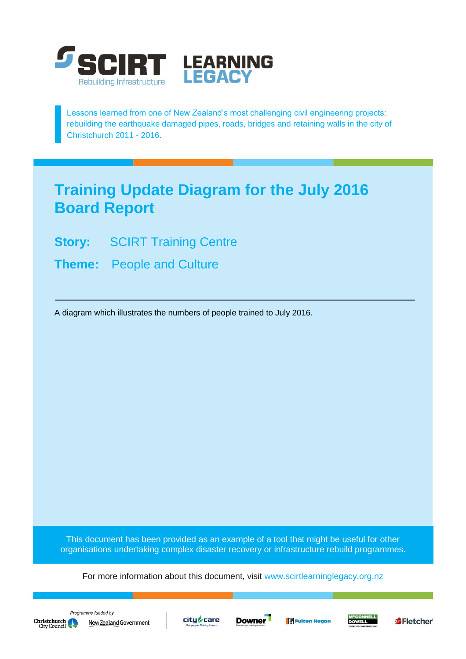

Lessons learned from one of New Zealand's most challenging civil engineering projects: rebuilding the earthquake damaged pipes, roads, bridges and retaining walls in the city of Christchurch 2011 - 2016.

## **Training Update Diagram for the July 2016 Board Report**

- **Story:** SCIRT Training Centre
- **Theme:** People and Culture

A diagram which illustrates the numbers of people trained to July 2016.

This document has been provided as an example of a tool that might be useful for other organisations undertaking complex disaster recovery or infrastructure rebuild programmes.

For more information about this document, visit [www.scirtlearninglegacy.org.nz](http://www.scirtlearninglegacy.org.nz/)











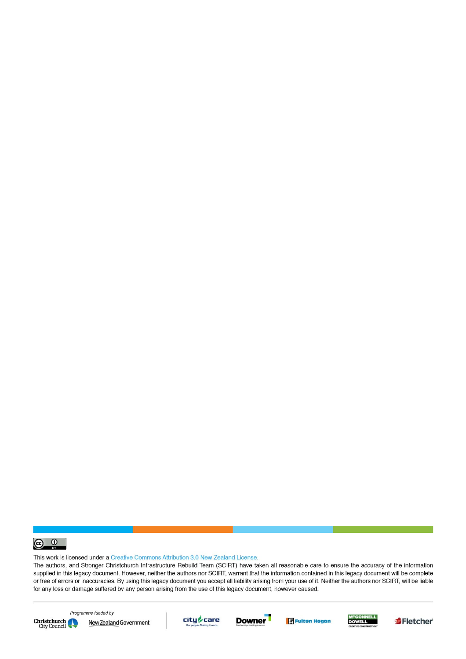

This work is licensed under a Creative Commons Attribution 3.0 New Zealand License.

The authors, and Stronger Christchurch Infrastructure Rebuild Team (SCIRT) have taken all reasonable care to ensure the accuracy of the information supplied in this legacy document. However, neither the authors nor SCIRT, warrant that the information contained in this legacy document will be complete or free of errors or inaccuracies. By using this legacy document you accept all liability arising from your use of it. Neither the authors nor SCIRT, will be liable for any loss or damage suffered by any person arising from the use of this legacy document, however caused.



Programme funded by New Zealand Government